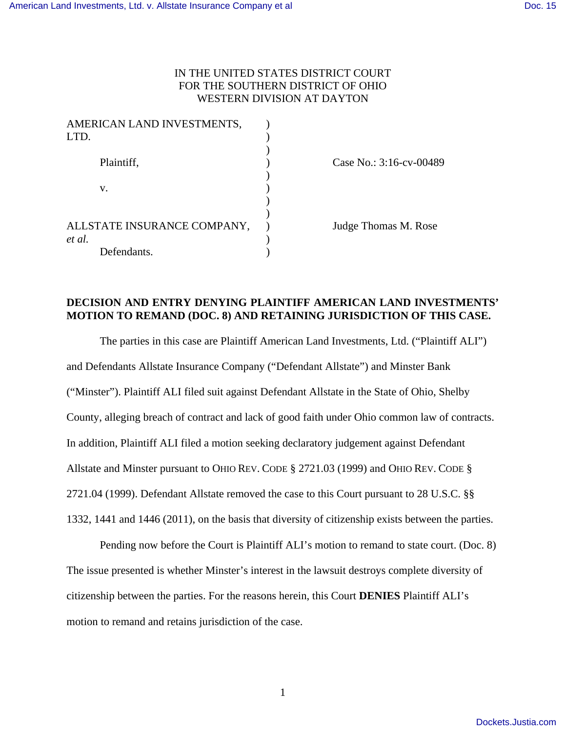# IN THE UNITED STATES DISTRICT COURT FOR THE SOUTHERN DISTRICT OF OHIO WESTERN DIVISION AT DAYTON

| AMERICAN LAND INVESTMENTS,<br>LTD. |                         |
|------------------------------------|-------------------------|
|                                    |                         |
| Plaintiff,                         | Case No.: 3:16-cv-00489 |
| v.                                 |                         |
|                                    |                         |
|                                    |                         |
| ALLSTATE INSURANCE COMPANY,        | Judge Thomas M. Rose    |
| et al.                             |                         |
| Defendants.                        |                         |

# **DECISION AND ENTRY DENYING PLAINTIFF AMERICAN LAND INVESTMENTS' MOTION TO REMAND (DOC. 8) AND RETAINING JURISDICTION OF THIS CASE.**

The parties in this case are Plaintiff American Land Investments, Ltd. ("Plaintiff ALI") and Defendants Allstate Insurance Company ("Defendant Allstate") and Minster Bank ("Minster"). Plaintiff ALI filed suit against Defendant Allstate in the State of Ohio, Shelby County, alleging breach of contract and lack of good faith under Ohio common law of contracts. In addition, Plaintiff ALI filed a motion seeking declaratory judgement against Defendant Allstate and Minster pursuant to OHIO REV. CODE § 2721.03 (1999) and OHIO REV. CODE § 2721.04 (1999). Defendant Allstate removed the case to this Court pursuant to 28 U.S.C. §§ 1332, 1441 and 1446 (2011), on the basis that diversity of citizenship exists between the parties.

Pending now before the Court is Plaintiff ALI's motion to remand to state court. (Doc. 8) The issue presented is whether Minster's interest in the lawsuit destroys complete diversity of citizenship between the parties. For the reasons herein, this Court **DENIES** Plaintiff ALI's motion to remand and retains jurisdiction of the case.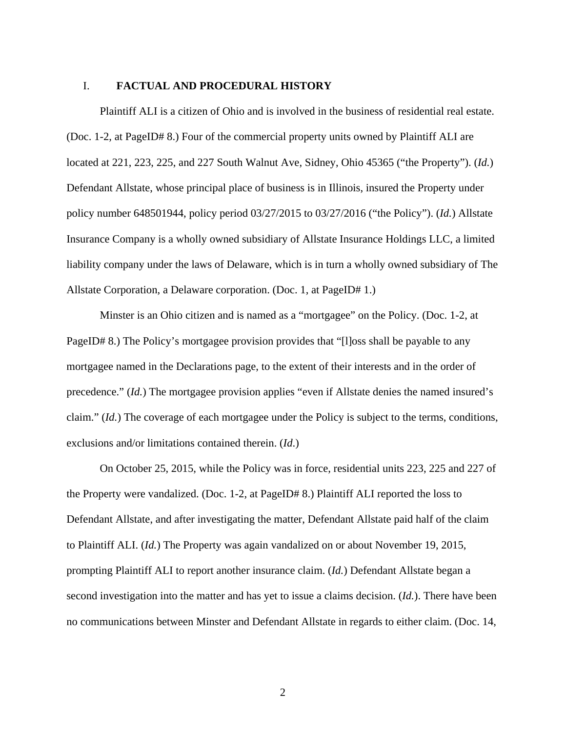#### I. **FACTUAL AND PROCEDURAL HISTORY**

Plaintiff ALI is a citizen of Ohio and is involved in the business of residential real estate. (Doc. 1-2, at PageID# 8.) Four of the commercial property units owned by Plaintiff ALI are located at 221, 223, 225, and 227 South Walnut Ave, Sidney, Ohio 45365 ("the Property"). (*Id.*) Defendant Allstate, whose principal place of business is in Illinois, insured the Property under policy number 648501944, policy period 03/27/2015 to 03/27/2016 ("the Policy"). (*Id.*) Allstate Insurance Company is a wholly owned subsidiary of Allstate Insurance Holdings LLC, a limited liability company under the laws of Delaware, which is in turn a wholly owned subsidiary of The Allstate Corporation, a Delaware corporation. (Doc. 1, at PageID# 1.)

Minster is an Ohio citizen and is named as a "mortgagee" on the Policy. (Doc. 1-2, at PageID# 8.) The Policy's mortgagee provision provides that "[I]oss shall be payable to any mortgagee named in the Declarations page, to the extent of their interests and in the order of precedence." (*Id.*) The mortgagee provision applies "even if Allstate denies the named insured's claim." (*Id.*) The coverage of each mortgagee under the Policy is subject to the terms, conditions, exclusions and/or limitations contained therein. (*Id*.)

On October 25, 2015, while the Policy was in force, residential units 223, 225 and 227 of the Property were vandalized. (Doc. 1-2, at PageID# 8.) Plaintiff ALI reported the loss to Defendant Allstate, and after investigating the matter, Defendant Allstate paid half of the claim to Plaintiff ALI. (*Id.*) The Property was again vandalized on or about November 19, 2015, prompting Plaintiff ALI to report another insurance claim. (*Id.*) Defendant Allstate began a second investigation into the matter and has yet to issue a claims decision. (*Id.*). There have been no communications between Minster and Defendant Allstate in regards to either claim. (Doc. 14,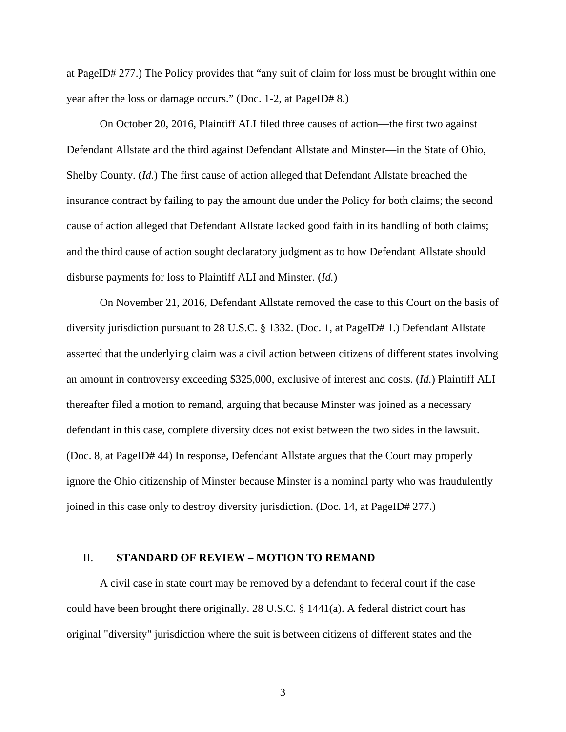at PageID# 277.) The Policy provides that "any suit of claim for loss must be brought within one year after the loss or damage occurs." (Doc. 1-2, at PageID# 8.)

On October 20, 2016, Plaintiff ALI filed three causes of action—the first two against Defendant Allstate and the third against Defendant Allstate and Minster—in the State of Ohio, Shelby County. (*Id.*) The first cause of action alleged that Defendant Allstate breached the insurance contract by failing to pay the amount due under the Policy for both claims; the second cause of action alleged that Defendant Allstate lacked good faith in its handling of both claims; and the third cause of action sought declaratory judgment as to how Defendant Allstate should disburse payments for loss to Plaintiff ALI and Minster. (*Id.*)

On November 21, 2016, Defendant Allstate removed the case to this Court on the basis of diversity jurisdiction pursuant to 28 U.S.C. § 1332. (Doc. 1, at PageID# 1.) Defendant Allstate asserted that the underlying claim was a civil action between citizens of different states involving an amount in controversy exceeding \$325,000, exclusive of interest and costs. (*Id.*) Plaintiff ALI thereafter filed a motion to remand, arguing that because Minster was joined as a necessary defendant in this case, complete diversity does not exist between the two sides in the lawsuit. (Doc. 8, at PageID# 44) In response, Defendant Allstate argues that the Court may properly ignore the Ohio citizenship of Minster because Minster is a nominal party who was fraudulently joined in this case only to destroy diversity jurisdiction. (Doc. 14, at PageID# 277.)

## II. **STANDARD OF REVIEW – MOTION TO REMAND**

A civil case in state court may be removed by a defendant to federal court if the case could have been brought there originally. 28 U.S.C. § 1441(a). A federal district court has original "diversity" jurisdiction where the suit is between citizens of different states and the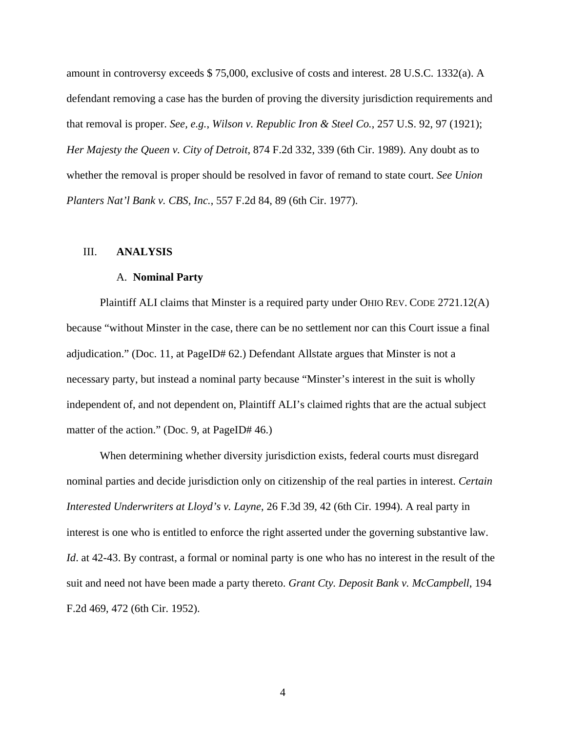amount in controversy exceeds \$ 75,000, exclusive of costs and interest. 28 U.S.C. 1332(a). A defendant removing a case has the burden of proving the diversity jurisdiction requirements and that removal is proper. *See, e.g.*, *Wilson v. Republic Iron & Steel Co.*, 257 U.S. 92, 97 (1921); *Her Majesty the Queen v. City of Detroit*, 874 F.2d 332, 339 (6th Cir. 1989). Any doubt as to whether the removal is proper should be resolved in favor of remand to state court. *See Union Planters Nat'l Bank v. CBS, Inc.*, 557 F.2d 84, 89 (6th Cir. 1977).

### III. **ANALYSIS**

#### A. **Nominal Party**

Plaintiff ALI claims that Minster is a required party under OHIO REV. CODE 2721.12(A) because "without Minster in the case, there can be no settlement nor can this Court issue a final adjudication." (Doc. 11, at PageID# 62.) Defendant Allstate argues that Minster is not a necessary party, but instead a nominal party because "Minster's interest in the suit is wholly independent of, and not dependent on, Plaintiff ALI's claimed rights that are the actual subject matter of the action." (Doc. 9, at PageID# 46.)

When determining whether diversity jurisdiction exists, federal courts must disregard nominal parties and decide jurisdiction only on citizenship of the real parties in interest. *Certain Interested Underwriters at Lloyd's v. Layne*, 26 F.3d 39, 42 (6th Cir. 1994). A real party in interest is one who is entitled to enforce the right asserted under the governing substantive law. *Id*. at 42-43. By contrast, a formal or nominal party is one who has no interest in the result of the suit and need not have been made a party thereto. *Grant Cty. Deposit Bank v. McCampbell*, 194 F.2d 469, 472 (6th Cir. 1952).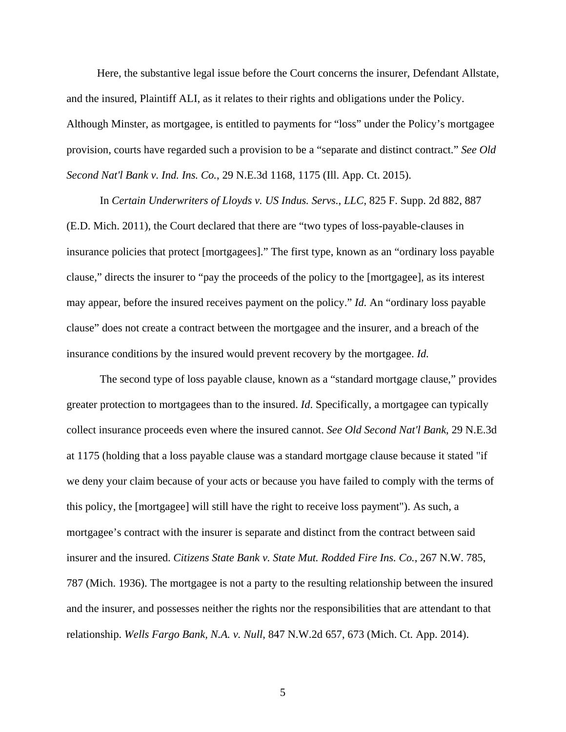Here, the substantive legal issue before the Court concerns the insurer, Defendant Allstate, and the insured, Plaintiff ALI, as it relates to their rights and obligations under the Policy. Although Minster, as mortgagee, is entitled to payments for "loss" under the Policy's mortgagee provision, courts have regarded such a provision to be a "separate and distinct contract." *See Old Second Nat'l Bank v. Ind. Ins. Co.*, 29 N.E.3d 1168, 1175 (Ill. App. Ct. 2015).

In *Certain Underwriters of Lloyds v. US Indus. Servs., LLC*, 825 F. Supp. 2d 882, 887 (E.D. Mich. 2011), the Court declared that there are "two types of loss-payable-clauses in insurance policies that protect [mortgagees]." The first type, known as an "ordinary loss payable clause," directs the insurer to "pay the proceeds of the policy to the [mortgagee], as its interest may appear, before the insured receives payment on the policy." *Id.* An "ordinary loss payable clause" does not create a contract between the mortgagee and the insurer, and a breach of the insurance conditions by the insured would prevent recovery by the mortgagee. *Id.*

The second type of loss payable clause, known as a "standard mortgage clause," provides greater protection to mortgagees than to the insured. *Id*. Specifically, a mortgagee can typically collect insurance proceeds even where the insured cannot. *See Old Second Nat'l Bank*, 29 N.E.3d at 1175 (holding that a loss payable clause was a standard mortgage clause because it stated "if we deny your claim because of your acts or because you have failed to comply with the terms of this policy, the [mortgagee] will still have the right to receive loss payment"). As such, a mortgagee's contract with the insurer is separate and distinct from the contract between said insurer and the insured. *Citizens State Bank v. State Mut. Rodded Fire Ins. Co.*, 267 N.W. 785, 787 (Mich. 1936). The mortgagee is not a party to the resulting relationship between the insured and the insurer, and possesses neither the rights nor the responsibilities that are attendant to that relationship. *Wells Fargo Bank, N.A. v. Null*, 847 N.W.2d 657, 673 (Mich. Ct. App. 2014).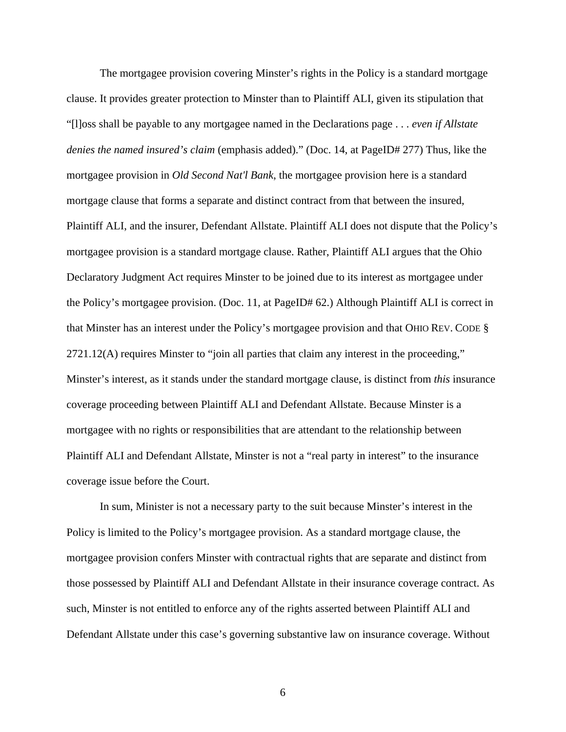The mortgagee provision covering Minster's rights in the Policy is a standard mortgage clause. It provides greater protection to Minster than to Plaintiff ALI, given its stipulation that "[l]oss shall be payable to any mortgagee named in the Declarations page . . . *even if Allstate denies the named insured's claim* (emphasis added)." (Doc. 14, at PageID# 277) Thus, like the mortgagee provision in *Old Second Nat'l Bank*, the mortgagee provision here is a standard mortgage clause that forms a separate and distinct contract from that between the insured, Plaintiff ALI, and the insurer, Defendant Allstate. Plaintiff ALI does not dispute that the Policy's mortgagee provision is a standard mortgage clause. Rather, Plaintiff ALI argues that the Ohio Declaratory Judgment Act requires Minster to be joined due to its interest as mortgagee under the Policy's mortgagee provision. (Doc. 11, at PageID# 62.) Although Plaintiff ALI is correct in that Minster has an interest under the Policy's mortgagee provision and that OHIO REV. CODE § 2721.12(A) requires Minster to "join all parties that claim any interest in the proceeding," Minster's interest, as it stands under the standard mortgage clause, is distinct from *this* insurance coverage proceeding between Plaintiff ALI and Defendant Allstate. Because Minster is a mortgagee with no rights or responsibilities that are attendant to the relationship between Plaintiff ALI and Defendant Allstate, Minster is not a "real party in interest" to the insurance coverage issue before the Court.

In sum, Minister is not a necessary party to the suit because Minster's interest in the Policy is limited to the Policy's mortgagee provision. As a standard mortgage clause, the mortgagee provision confers Minster with contractual rights that are separate and distinct from those possessed by Plaintiff ALI and Defendant Allstate in their insurance coverage contract. As such, Minster is not entitled to enforce any of the rights asserted between Plaintiff ALI and Defendant Allstate under this case's governing substantive law on insurance coverage. Without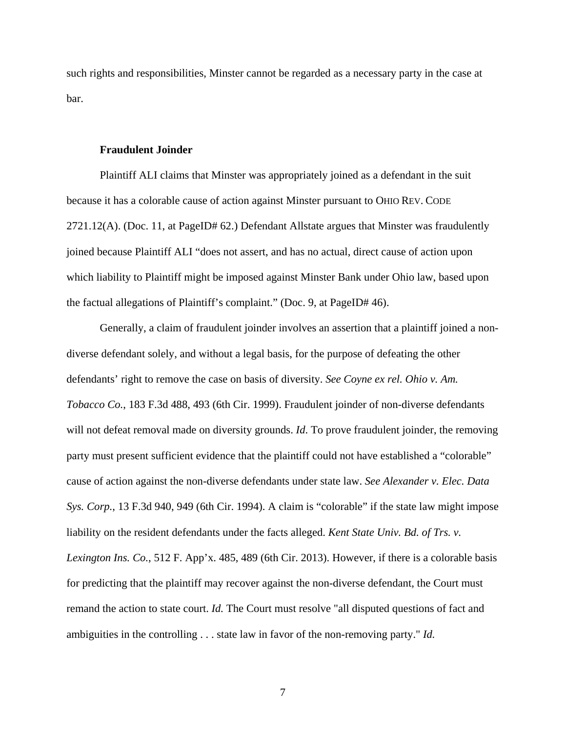such rights and responsibilities, Minster cannot be regarded as a necessary party in the case at bar.

#### **Fraudulent Joinder**

Plaintiff ALI claims that Minster was appropriately joined as a defendant in the suit because it has a colorable cause of action against Minster pursuant to OHIO REV. CODE 2721.12(A). (Doc. 11, at PageID# 62.) Defendant Allstate argues that Minster was fraudulently joined because Plaintiff ALI "does not assert, and has no actual, direct cause of action upon which liability to Plaintiff might be imposed against Minster Bank under Ohio law, based upon the factual allegations of Plaintiff's complaint." (Doc. 9, at PageID# 46).

Generally, a claim of fraudulent joinder involves an assertion that a plaintiff joined a nondiverse defendant solely, and without a legal basis, for the purpose of defeating the other defendants' right to remove the case on basis of diversity. *See Coyne ex rel. Ohio v. Am. Tobacco Co.*, 183 F.3d 488, 493 (6th Cir. 1999). Fraudulent joinder of non-diverse defendants will not defeat removal made on diversity grounds. *Id*. To prove fraudulent joinder, the removing party must present sufficient evidence that the plaintiff could not have established a "colorable" cause of action against the non-diverse defendants under state law. *See Alexander v. Elec. Data Sys. Corp.*, 13 F.3d 940, 949 (6th Cir. 1994). A claim is "colorable" if the state law might impose liability on the resident defendants under the facts alleged. *Kent State Univ. Bd. of Trs. v. Lexington Ins. Co.*, 512 F. App'x. 485, 489 (6th Cir. 2013). However, if there is a colorable basis for predicting that the plaintiff may recover against the non-diverse defendant, the Court must remand the action to state court. *Id.* The Court must resolve "all disputed questions of fact and ambiguities in the controlling . . . state law in favor of the non-removing party." *Id.*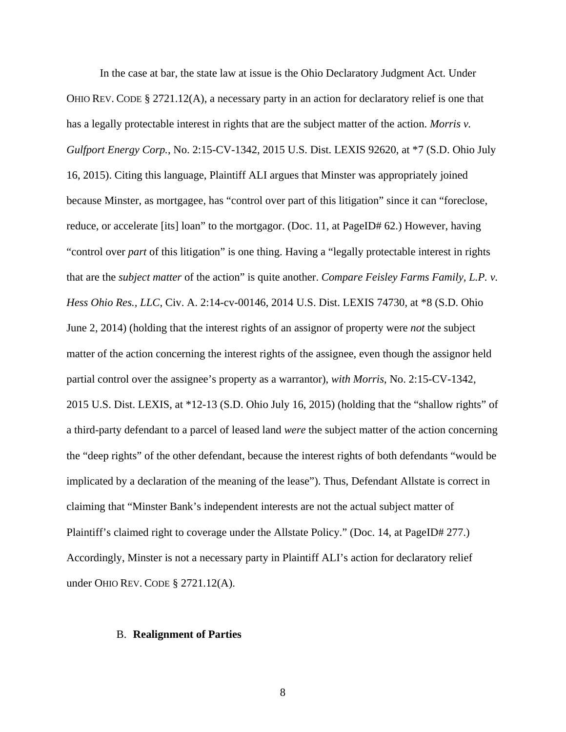In the case at bar, the state law at issue is the Ohio Declaratory Judgment Act. Under OHIO REV. CODE § 2721.12(A), a necessary party in an action for declaratory relief is one that has a legally protectable interest in rights that are the subject matter of the action. *Morris v. Gulfport Energy Corp.*, No. 2:15-CV-1342, 2015 U.S. Dist. LEXIS 92620, at \*7 (S.D. Ohio July 16, 2015). Citing this language, Plaintiff ALI argues that Minster was appropriately joined because Minster, as mortgagee, has "control over part of this litigation" since it can "foreclose, reduce, or accelerate [its] loan" to the mortgagor. (Doc. 11, at PageID# 62.) However, having "control over *part* of this litigation" is one thing. Having a "legally protectable interest in rights that are the *subject matter* of the action" is quite another. *Compare Feisley Farms Family, L.P. v. Hess Ohio Res., LLC*, Civ. A. 2:14-cv-00146, 2014 U.S. Dist. LEXIS 74730, at \*8 (S.D. Ohio June 2, 2014) (holding that the interest rights of an assignor of property were *not* the subject matter of the action concerning the interest rights of the assignee, even though the assignor held partial control over the assignee's property as a warrantor), *with Morris*, No. 2:15-CV-1342, 2015 U.S. Dist. LEXIS, at \*12-13 (S.D. Ohio July 16, 2015) (holding that the "shallow rights" of a third-party defendant to a parcel of leased land *were* the subject matter of the action concerning the "deep rights" of the other defendant, because the interest rights of both defendants "would be implicated by a declaration of the meaning of the lease"). Thus, Defendant Allstate is correct in claiming that "Minster Bank's independent interests are not the actual subject matter of Plaintiff's claimed right to coverage under the Allstate Policy." (Doc. 14, at PageID# 277.) Accordingly, Minster is not a necessary party in Plaintiff ALI's action for declaratory relief under OHIO REV. CODE § 2721.12(A).

#### B. **Realignment of Parties**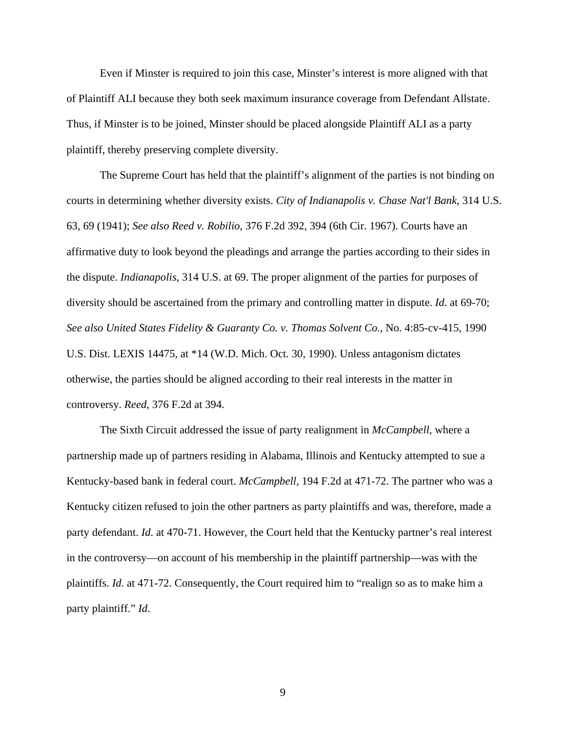Even if Minster is required to join this case, Minster's interest is more aligned with that of Plaintiff ALI because they both seek maximum insurance coverage from Defendant Allstate. Thus, if Minster is to be joined, Minster should be placed alongside Plaintiff ALI as a party plaintiff, thereby preserving complete diversity.

 The Supreme Court has held that the plaintiff's alignment of the parties is not binding on courts in determining whether diversity exists. *City of Indianapolis v. Chase Nat'l Bank*, 314 U.S. 63, 69 (1941); *See also Reed v. Robilio*, 376 F.2d 392, 394 (6th Cir. 1967). Courts have an affirmative duty to look beyond the pleadings and arrange the parties according to their sides in the dispute. *Indianapolis*, 314 U.S. at 69. The proper alignment of the parties for purposes of diversity should be ascertained from the primary and controlling matter in dispute. *Id*. at 69-70; *See also United States Fidelity & Guaranty Co. v. Thomas Solvent Co.*, No. 4:85-cv-415, 1990 U.S. Dist. LEXIS 14475, at \*14 (W.D. Mich. Oct. 30, 1990). Unless antagonism dictates otherwise, the parties should be aligned according to their real interests in the matter in controversy. *Reed*, 376 F.2d at 394.

The Sixth Circuit addressed the issue of party realignment in *McCampbell*, where a partnership made up of partners residing in Alabama, Illinois and Kentucky attempted to sue a Kentucky-based bank in federal court. *McCampbell*, 194 F.2d at 471-72. The partner who was a Kentucky citizen refused to join the other partners as party plaintiffs and was, therefore, made a party defendant. *Id*. at 470-71. However, the Court held that the Kentucky partner's real interest in the controversy—on account of his membership in the plaintiff partnership—was with the plaintiffs. *Id*. at 471-72. Consequently, the Court required him to "realign so as to make him a party plaintiff." *Id*.